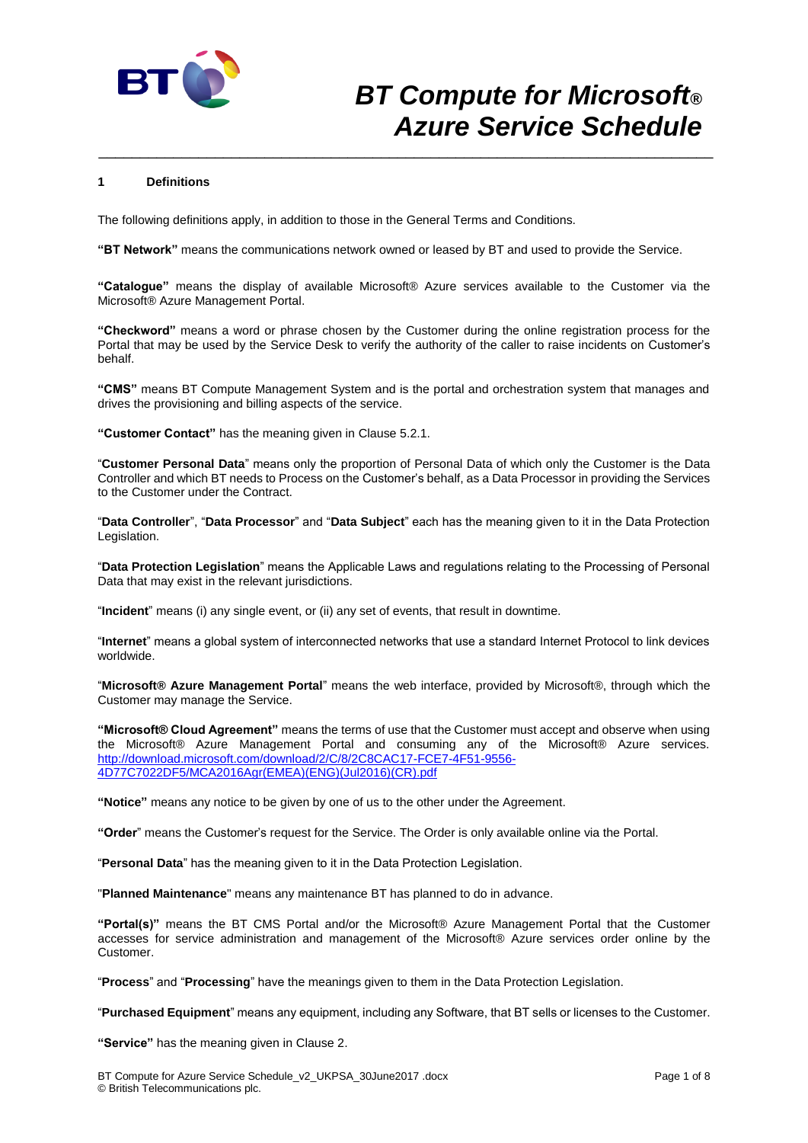

### **1 Definitions**

The following definitions apply, in addition to those in the General Terms and Conditions.

**"BT Network"** means the communications network owned or leased by BT and used to provide the Service.

**"Catalogue"** means the display of available Microsoft® Azure services available to the Customer via the Microsoft® Azure Management Portal.

\_\_\_\_\_\_\_\_\_\_\_\_\_\_\_\_\_\_\_\_\_\_\_\_\_\_\_\_\_\_\_\_\_\_\_\_\_\_\_\_\_\_\_\_\_\_\_\_\_\_\_\_\_\_\_\_\_\_\_\_\_\_\_\_\_\_\_\_\_\_\_\_\_\_

**"Checkword"** means a word or phrase chosen by the Customer during the online registration process for the Portal that may be used by the Service Desk to verify the authority of the caller to raise incidents on Customer's behalf.

**"CMS"** means BT Compute Management System and is the portal and orchestration system that manages and drives the provisioning and billing aspects of the service.

**"Customer Contact"** has the meaning given in Clause 5.2.1.

"**Customer Personal Data**" means only the proportion of Personal Data of which only the Customer is the Data Controller and which BT needs to Process on the Customer's behalf, as a Data Processor in providing the Services to the Customer under the Contract.

"**Data Controller**", "**Data Processor**" and "**Data Subject**" each has the meaning given to it in the Data Protection Legislation.

"**Data Protection Legislation**" means the Applicable Laws and regulations relating to the Processing of Personal Data that may exist in the relevant jurisdictions.

"**Incident**" means (i) any single event, or (ii) any set of events, that result in downtime.

"**Internet**" means a global system of interconnected networks that use a standard Internet Protocol to link devices worldwide.

"**Microsoft® Azure Management Portal**" means the web interface, provided by Microsoft®, through which the Customer may manage the Service.

**"Microsoft® Cloud Agreement"** means the terms of use that the Customer must accept and observe when using the Microsoft® Azure Management Portal and consuming any of the Microsoft® Azure services. [http://download.microsoft.com/download/2/C/8/2C8CAC17-FCE7-4F51-9556-](http://download.microsoft.com/download/2/C/8/2C8CAC17-FCE7-4F51-9556-4D77C7022DF5/MCA2016Agr(EMEA)(ENG)(Jul2016)(CR).pdf) [4D77C7022DF5/MCA2016Agr\(EMEA\)\(ENG\)\(Jul2016\)\(CR\).pdf](http://download.microsoft.com/download/2/C/8/2C8CAC17-FCE7-4F51-9556-4D77C7022DF5/MCA2016Agr(EMEA)(ENG)(Jul2016)(CR).pdf)

**"Notice"** means any notice to be given by one of us to the other under the Agreement.

**"Order**" means the Customer's request for the Service. The Order is only available online via the Portal.

"**Personal Data**" has the meaning given to it in the Data Protection Legislation.

"**Planned Maintenance**" means any maintenance BT has planned to do in advance.

**"Portal(s)"** means the BT CMS Portal and/or the Microsoft® Azure Management Portal that the Customer accesses for service administration and management of the Microsoft® Azure services order online by the Customer.

"**Process**" and "**Processing**" have the meanings given to them in the Data Protection Legislation.

"**Purchased Equipment**" means any equipment, including any Software, that BT sells or licenses to the Customer.

**"Service"** has the meaning given in Clause 2.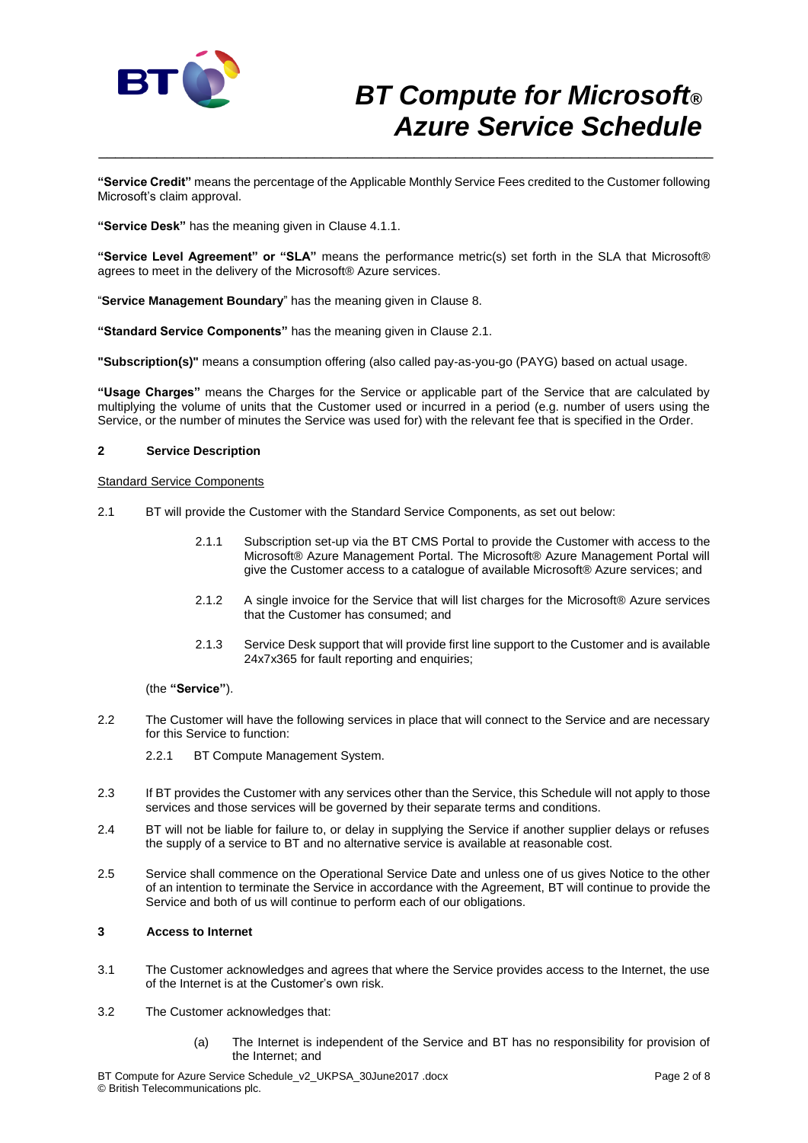

**"Service Credit"** means the percentage of the Applicable Monthly Service Fees credited to the Customer following Microsoft's claim approval.

\_\_\_\_\_\_\_\_\_\_\_\_\_\_\_\_\_\_\_\_\_\_\_\_\_\_\_\_\_\_\_\_\_\_\_\_\_\_\_\_\_\_\_\_\_\_\_\_\_\_\_\_\_\_\_\_\_\_\_\_\_\_\_\_\_\_\_\_\_\_\_\_\_\_

**"Service Desk"** has the meaning given in Clause 4.1.1.

**"Service Level Agreement" or "SLA"** means the performance metric(s) set forth in the SLA that Microsoft® agrees to meet in the delivery of the Microsoft® Azure services.

"**Service Management Boundary**" has the meaning given in Clause 8.

**"Standard Service Components"** has the meaning given in Clause 2.1.

**"Subscription(s)"** means a consumption offering (also called pay-as-you-go (PAYG) based on actual usage.

**"Usage Charges"** means the Charges for the Service or applicable part of the Service that are calculated by multiplying the volume of units that the Customer used or incurred in a period (e.g. number of users using the Service, or the number of minutes the Service was used for) with the relevant fee that is specified in the Order.

#### **2 Service Description**

Standard Service Components

- 2.1 BT will provide the Customer with the Standard Service Components, as set out below:
	- 2.1.1 Subscription set-up via the BT CMS Portal to provide the Customer with access to the Microsoft® Azure Management Portal. The Microsoft® Azure Management Portal will give the Customer access to a catalogue of available Microsoft® Azure services; and
	- 2.1.2 A single invoice for the Service that will list charges for the Microsoft® Azure services that the Customer has consumed; and
	- 2.1.3 Service Desk support that will provide first line support to the Customer and is available 24x7x365 for fault reporting and enquiries;

(the **"Service"**).

- 2.2 The Customer will have the following services in place that will connect to the Service and are necessary for this Service to function:
	- 2.2.1 BT Compute Management System.
- 2.3 If BT provides the Customer with any services other than the Service, this Schedule will not apply to those services and those services will be governed by their separate terms and conditions.
- 2.4 BT will not be liable for failure to, or delay in supplying the Service if another supplier delays or refuses the supply of a service to BT and no alternative service is available at reasonable cost.
- 2.5 Service shall commence on the Operational Service Date and unless one of us gives Notice to the other of an intention to terminate the Service in accordance with the Agreement, BT will continue to provide the Service and both of us will continue to perform each of our obligations.

### **3 Access to Internet**

- 3.1 The Customer acknowledges and agrees that where the Service provides access to the Internet, the use of the Internet is at the Customer's own risk.
- 3.2 The Customer acknowledges that:
	- (a) The Internet is independent of the Service and BT has no responsibility for provision of the Internet; and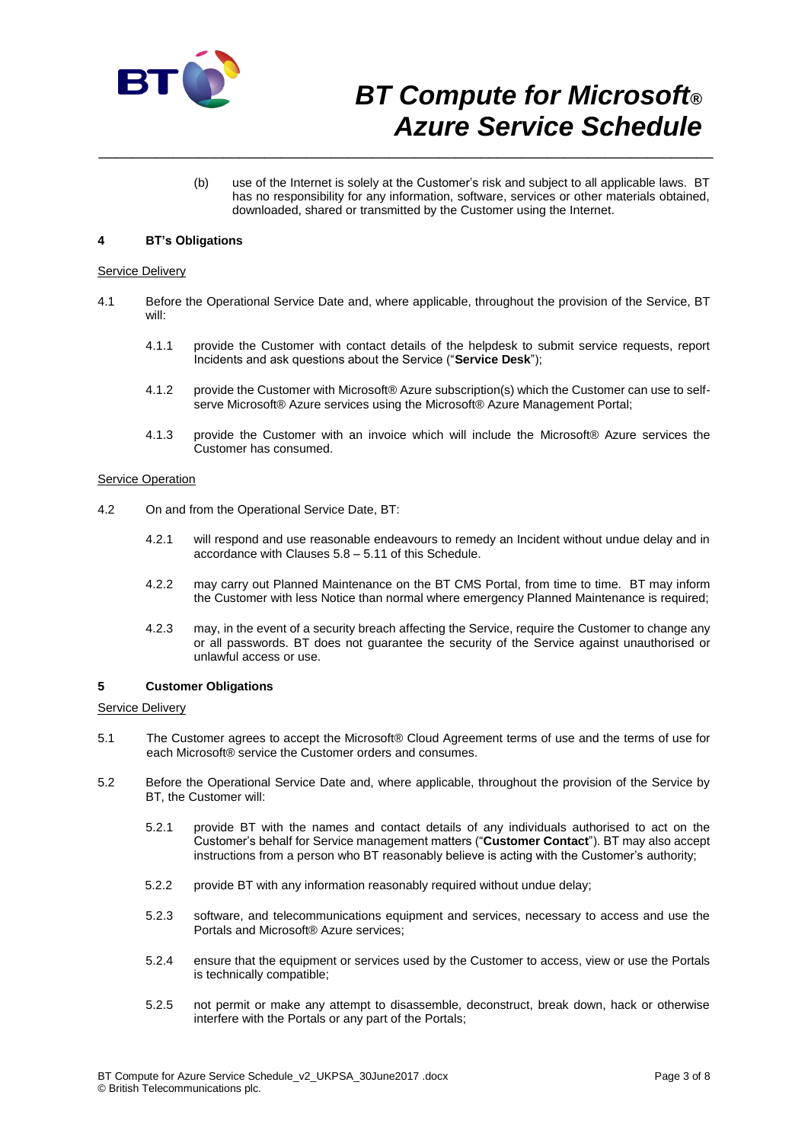

(b) use of the Internet is solely at the Customer's risk and subject to all applicable laws. BT has no responsibility for any information, software, services or other materials obtained, downloaded, shared or transmitted by the Customer using the Internet.

### **4 BT's Obligations**

#### Service Delivery

4.1 Before the Operational Service Date and, where applicable, throughout the provision of the Service, BT will:

\_\_\_\_\_\_\_\_\_\_\_\_\_\_\_\_\_\_\_\_\_\_\_\_\_\_\_\_\_\_\_\_\_\_\_\_\_\_\_\_\_\_\_\_\_\_\_\_\_\_\_\_\_\_\_\_\_\_\_\_\_\_\_\_\_\_\_\_\_\_\_\_\_\_

- 4.1.1 provide the Customer with contact details of the helpdesk to submit service requests, report Incidents and ask questions about the Service ("**Service Desk**");
- 4.1.2 provide the Customer with Microsoft® Azure subscription(s) which the Customer can use to selfserve Microsoft® Azure services using the Microsoft® Azure Management Portal;
- 4.1.3 provide the Customer with an invoice which will include the Microsoft® Azure services the Customer has consumed.

#### Service Operation

- 4.2 On and from the Operational Service Date, BT:
	- 4.2.1 will respond and use reasonable endeavours to remedy an Incident without undue delay and in accordance with Clauses 5.8 – 5.11 of this Schedule.
	- 4.2.2 may carry out Planned Maintenance on the BT CMS Portal, from time to time. BT may inform the Customer with less Notice than normal where emergency Planned Maintenance is required;
	- 4.2.3 may, in the event of a security breach affecting the Service, require the Customer to change any or all passwords. BT does not guarantee the security of the Service against unauthorised or unlawful access or use.

### **5 Customer Obligations**

#### Service Delivery

- 5.1 The Customer agrees to accept the Microsoft® Cloud Agreement terms of use and the terms of use for each Microsoft® service the Customer orders and consumes.
- 5.2 Before the Operational Service Date and, where applicable, throughout the provision of the Service by BT, the Customer will:
	- 5.2.1 provide BT with the names and contact details of any individuals authorised to act on the Customer's behalf for Service management matters ("**Customer Contact**"). BT may also accept instructions from a person who BT reasonably believe is acting with the Customer's authority;
	- 5.2.2 provide BT with any information reasonably required without undue delay;
	- 5.2.3 software, and telecommunications equipment and services, necessary to access and use the Portals and Microsoft® Azure services;
	- 5.2.4 ensure that the equipment or services used by the Customer to access, view or use the Portals is technically compatible;
	- 5.2.5 not permit or make any attempt to disassemble, deconstruct, break down, hack or otherwise interfere with the Portals or any part of the Portals;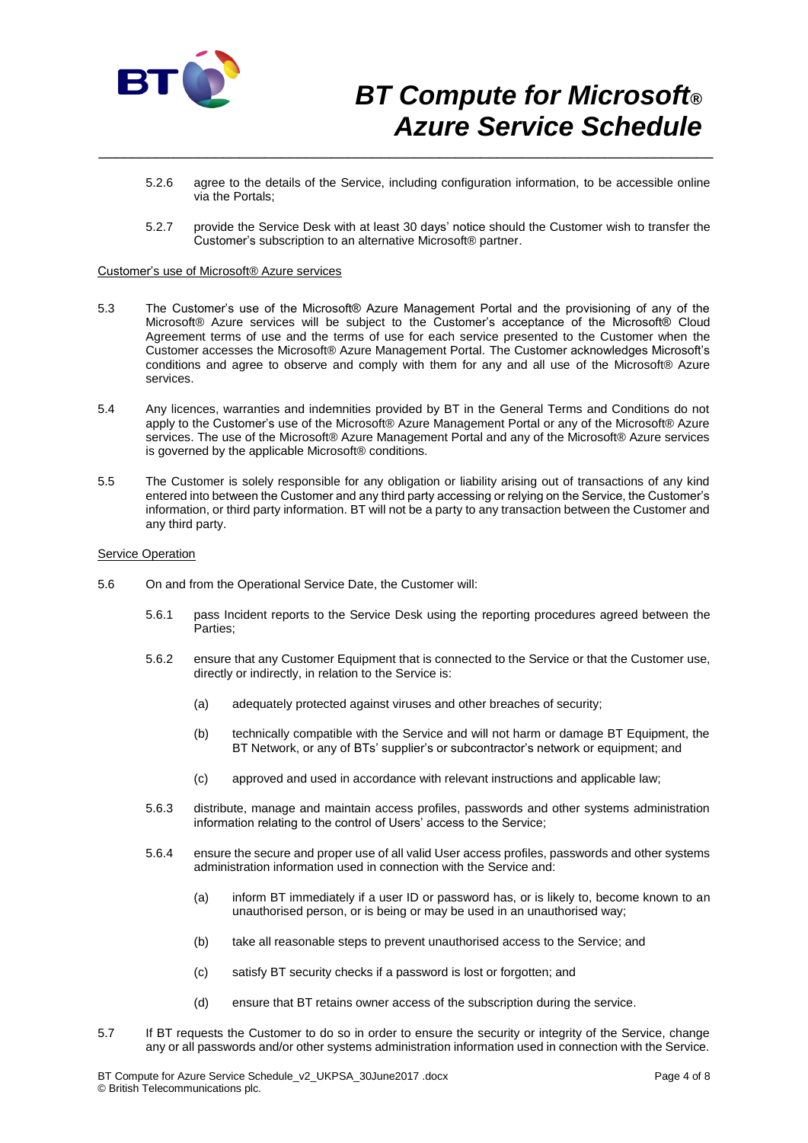

5.2.6 agree to the details of the Service, including configuration information, to be accessible online via the Portals;

\_\_\_\_\_\_\_\_\_\_\_\_\_\_\_\_\_\_\_\_\_\_\_\_\_\_\_\_\_\_\_\_\_\_\_\_\_\_\_\_\_\_\_\_\_\_\_\_\_\_\_\_\_\_\_\_\_\_\_\_\_\_\_\_\_\_\_\_\_\_\_\_\_\_

5.2.7 provide the Service Desk with at least 30 days' notice should the Customer wish to transfer the Customer's subscription to an alternative Microsoft® partner.

#### Customer's use of Microsoft® Azure services

- 5.3 The Customer's use of the Microsoft® Azure Management Portal and the provisioning of any of the Microsoft® Azure services will be subject to the Customer's acceptance of the Microsoft® Cloud Agreement terms of use and the terms of use for each service presented to the Customer when the Customer accesses the Microsoft® Azure Management Portal. The Customer acknowledges Microsoft's conditions and agree to observe and comply with them for any and all use of the Microsoft® Azure services.
- 5.4 Any licences, warranties and indemnities provided by BT in the General Terms and Conditions do not apply to the Customer's use of the Microsoft® Azure Management Portal or any of the Microsoft® Azure services. The use of the Microsoft® Azure Management Portal and any of the Microsoft® Azure services is governed by the applicable Microsoft® conditions.
- 5.5 The Customer is solely responsible for any obligation or liability arising out of transactions of any kind entered into between the Customer and any third party accessing or relying on the Service, the Customer's information, or third party information. BT will not be a party to any transaction between the Customer and any third party.

#### **Service Operation**

- 5.6 On and from the Operational Service Date, the Customer will:
	- 5.6.1 pass Incident reports to the Service Desk using the reporting procedures agreed between the Parties;
	- 5.6.2 ensure that any Customer Equipment that is connected to the Service or that the Customer use, directly or indirectly, in relation to the Service is:
		- (a) adequately protected against viruses and other breaches of security;
		- (b) technically compatible with the Service and will not harm or damage BT Equipment, the BT Network, or any of BTs' supplier's or subcontractor's network or equipment; and
		- (c) approved and used in accordance with relevant instructions and applicable law;
	- 5.6.3 distribute, manage and maintain access profiles, passwords and other systems administration information relating to the control of Users' access to the Service;
	- 5.6.4 ensure the secure and proper use of all valid User access profiles, passwords and other systems administration information used in connection with the Service and:
		- (a) inform BT immediately if a user ID or password has, or is likely to, become known to an unauthorised person, or is being or may be used in an unauthorised way;
		- (b) take all reasonable steps to prevent unauthorised access to the Service; and
		- (c) satisfy BT security checks if a password is lost or forgotten; and
		- (d) ensure that BT retains owner access of the subscription during the service.
- 5.7 If BT requests the Customer to do so in order to ensure the security or integrity of the Service, change any or all passwords and/or other systems administration information used in connection with the Service.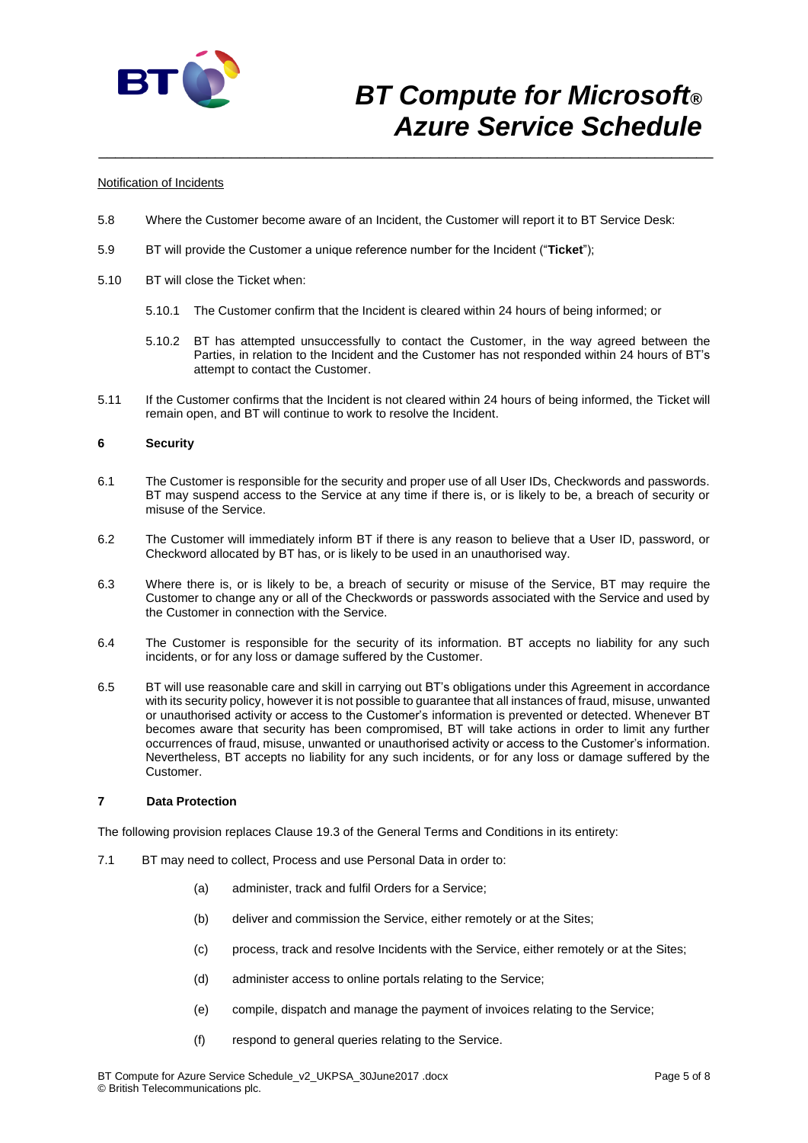

#### Notification of Incidents

5.8 Where the Customer become aware of an Incident, the Customer will report it to BT Service Desk:

\_\_\_\_\_\_\_\_\_\_\_\_\_\_\_\_\_\_\_\_\_\_\_\_\_\_\_\_\_\_\_\_\_\_\_\_\_\_\_\_\_\_\_\_\_\_\_\_\_\_\_\_\_\_\_\_\_\_\_\_\_\_\_\_\_\_\_\_\_\_\_\_\_\_

- 5.9 BT will provide the Customer a unique reference number for the Incident ("**Ticket**");
- 5.10 BT will close the Ticket when:
	- 5.10.1 The Customer confirm that the Incident is cleared within 24 hours of being informed; or
	- 5.10.2 BT has attempted unsuccessfully to contact the Customer, in the way agreed between the Parties, in relation to the Incident and the Customer has not responded within 24 hours of BT's attempt to contact the Customer.
- 5.11 If the Customer confirms that the Incident is not cleared within 24 hours of being informed, the Ticket will remain open, and BT will continue to work to resolve the Incident.

### **6 Security**

- 6.1 The Customer is responsible for the security and proper use of all User IDs, Checkwords and passwords. BT may suspend access to the Service at any time if there is, or is likely to be, a breach of security or misuse of the Service.
- 6.2 The Customer will immediately inform BT if there is any reason to believe that a User ID, password, or Checkword allocated by BT has, or is likely to be used in an unauthorised way.
- 6.3 Where there is, or is likely to be, a breach of security or misuse of the Service, BT may require the Customer to change any or all of the Checkwords or passwords associated with the Service and used by the Customer in connection with the Service.
- 6.4 The Customer is responsible for the security of its information. BT accepts no liability for any such incidents, or for any loss or damage suffered by the Customer.
- 6.5 BT will use reasonable care and skill in carrying out BT's obligations under this Agreement in accordance with its security policy, however it is not possible to guarantee that all instances of fraud, misuse, unwanted or unauthorised activity or access to the Customer's information is prevented or detected. Whenever BT becomes aware that security has been compromised, BT will take actions in order to limit any further occurrences of fraud, misuse, unwanted or unauthorised activity or access to the Customer's information. Nevertheless, BT accepts no liability for any such incidents, or for any loss or damage suffered by the Customer.

### **7 Data Protection**

The following provision replaces Clause 19.3 of the General Terms and Conditions in its entirety:

- 7.1 BT may need to collect, Process and use Personal Data in order to:
	- (a) administer, track and fulfil Orders for a Service;
	- (b) deliver and commission the Service, either remotely or at the Sites;
	- (c) process, track and resolve Incidents with the Service, either remotely or at the Sites;
	- (d) administer access to online portals relating to the Service;
	- (e) compile, dispatch and manage the payment of invoices relating to the Service;
	- (f) respond to general queries relating to the Service.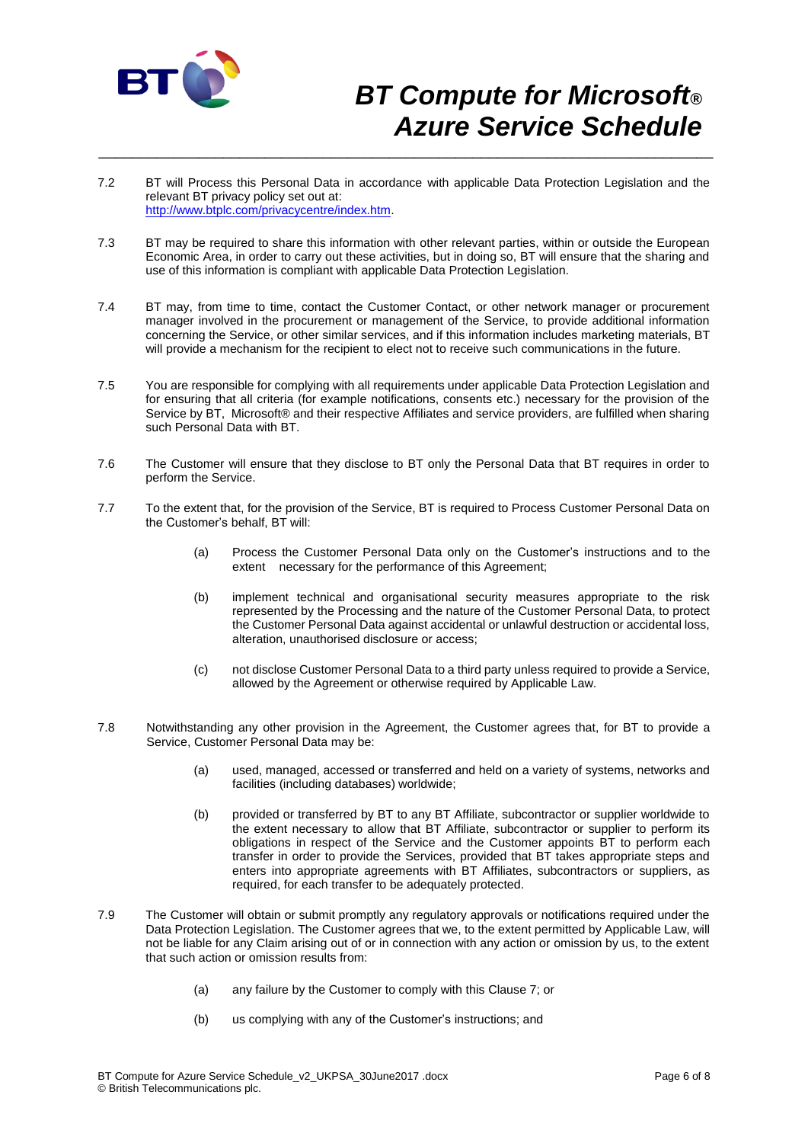

7.2 BT will Process this Personal Data in accordance with applicable Data Protection Legislation and the relevant BT privacy policy set out at: [http://www.btplc.com/privacycentre/index.htm.](http://www.btplc.com/privacycentre/index.htm)

\_\_\_\_\_\_\_\_\_\_\_\_\_\_\_\_\_\_\_\_\_\_\_\_\_\_\_\_\_\_\_\_\_\_\_\_\_\_\_\_\_\_\_\_\_\_\_\_\_\_\_\_\_\_\_\_\_\_\_\_\_\_\_\_\_\_\_\_\_\_\_\_\_\_

- 7.3 BT may be required to share this information with other relevant parties, within or outside the European Economic Area, in order to carry out these activities, but in doing so, BT will ensure that the sharing and use of this information is compliant with applicable Data Protection Legislation.
- 7.4 BT may, from time to time, contact the Customer Contact, or other network manager or procurement manager involved in the procurement or management of the Service, to provide additional information concerning the Service, or other similar services, and if this information includes marketing materials, BT will provide a mechanism for the recipient to elect not to receive such communications in the future.
- 7.5 You are responsible for complying with all requirements under applicable Data Protection Legislation and for ensuring that all criteria (for example notifications, consents etc.) necessary for the provision of the Service by BT, Microsoft<sup>®</sup> and their respective Affiliates and service providers, are fulfilled when sharing such Personal Data with BT.
- 7.6 The Customer will ensure that they disclose to BT only the Personal Data that BT requires in order to perform the Service.
- 7.7 To the extent that, for the provision of the Service, BT is required to Process Customer Personal Data on the Customer's behalf, BT will:
	- (a) Process the Customer Personal Data only on the Customer's instructions and to the extent necessary for the performance of this Agreement;
	- (b) implement technical and organisational security measures appropriate to the risk represented by the Processing and the nature of the Customer Personal Data, to protect the Customer Personal Data against accidental or unlawful destruction or accidental loss, alteration, unauthorised disclosure or access;
	- (c) not disclose Customer Personal Data to a third party unless required to provide a Service, allowed by the Agreement or otherwise required by Applicable Law.
- 7.8 Notwithstanding any other provision in the Agreement, the Customer agrees that, for BT to provide a Service, Customer Personal Data may be:
	- (a) used, managed, accessed or transferred and held on a variety of systems, networks and facilities (including databases) worldwide;
	- (b) provided or transferred by BT to any BT Affiliate, subcontractor or supplier worldwide to the extent necessary to allow that BT Affiliate, subcontractor or supplier to perform its obligations in respect of the Service and the Customer appoints BT to perform each transfer in order to provide the Services, provided that BT takes appropriate steps and enters into appropriate agreements with BT Affiliates, subcontractors or suppliers, as required, for each transfer to be adequately protected.
- 7.9 The Customer will obtain or submit promptly any regulatory approvals or notifications required under the Data Protection Legislation. The Customer agrees that we, to the extent permitted by Applicable Law, will not be liable for any Claim arising out of or in connection with any action or omission by us, to the extent that such action or omission results from:
	- (a) any failure by the Customer to comply with this Clause 7; or
	- (b) us complying with any of the Customer's instructions; and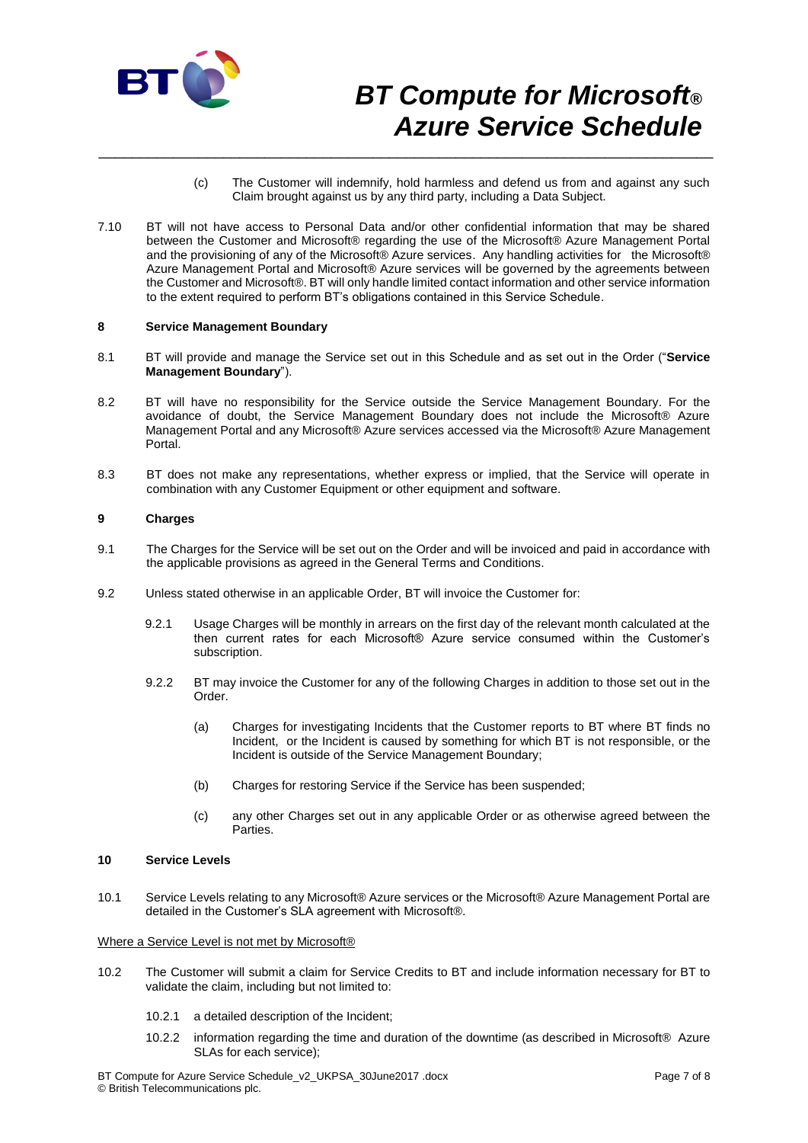

- (c) The Customer will indemnify, hold harmless and defend us from and against any such Claim brought against us by any third party, including a Data Subject.
- 7.10 BT will not have access to Personal Data and/or other confidential information that may be shared between the Customer and Microsoft® regarding the use of the Microsoft® Azure Management Portal and the provisioning of any of the Microsoft® Azure services. Any handling activities for the Microsoft® Azure Management Portal and Microsoft® Azure services will be governed by the agreements between the Customer and Microsoft®. BT will only handle limited contact information and other service information to the extent required to perform BT's obligations contained in this Service Schedule.

\_\_\_\_\_\_\_\_\_\_\_\_\_\_\_\_\_\_\_\_\_\_\_\_\_\_\_\_\_\_\_\_\_\_\_\_\_\_\_\_\_\_\_\_\_\_\_\_\_\_\_\_\_\_\_\_\_\_\_\_\_\_\_\_\_\_\_\_\_\_\_\_\_\_

### **8 Service Management Boundary**

- 8.1 BT will provide and manage the Service set out in this Schedule and as set out in the Order ("**Service Management Boundary**").
- 8.2 BT will have no responsibility for the Service outside the Service Management Boundary. For the avoidance of doubt, the Service Management Boundary does not include the Microsoft® Azure Management Portal and any Microsoft® Azure services accessed via the Microsoft® Azure Management Portal.
- 8.3 BT does not make any representations, whether express or implied, that the Service will operate in combination with any Customer Equipment or other equipment and software.

### **9 Charges**

- 9.1 The Charges for the Service will be set out on the Order and will be invoiced and paid in accordance with the applicable provisions as agreed in the General Terms and Conditions.
- 9.2 Unless stated otherwise in an applicable Order, BT will invoice the Customer for:
	- 9.2.1 Usage Charges will be monthly in arrears on the first day of the relevant month calculated at the then current rates for each Microsoft® Azure service consumed within the Customer's subscription.
	- 9.2.2 BT may invoice the Customer for any of the following Charges in addition to those set out in the Order.
		- (a) Charges for investigating Incidents that the Customer reports to BT where BT finds no Incident, or the Incident is caused by something for which BT is not responsible, or the Incident is outside of the Service Management Boundary;
		- (b) Charges for restoring Service if the Service has been suspended;
		- (c) any other Charges set out in any applicable Order or as otherwise agreed between the Parties.

### **10 Service Levels**

10.1 Service Levels relating to any Microsoft® Azure services or the Microsoft® Azure Management Portal are detailed in the Customer's SLA agreement with Microsoft®.

#### Where a Service Level is not met by Microsoft®

- 10.2 The Customer will submit a claim for Service Credits to BT and include information necessary for BT to validate the claim, including but not limited to:
	- 10.2.1 a detailed description of the Incident;
	- 10.2.2 information regarding the time and duration of the downtime (as described in Microsoft® Azure SLAs for each service);